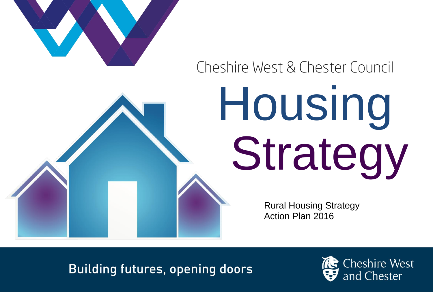

## Cheshire West & Chester Council

## Housing Strategy

Rural Housing Strategy Action Plan 2016

**Building futures, opening doors** 

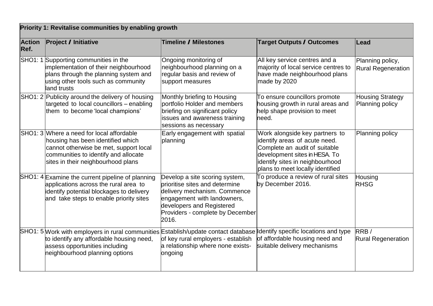| Priority 1: Revitalise communities by enabling growth |                                                                                                                                                                                                                                        |                                                                                                                                                                                                           |                                                                                                                                                                                                          |                                               |
|-------------------------------------------------------|----------------------------------------------------------------------------------------------------------------------------------------------------------------------------------------------------------------------------------------|-----------------------------------------------------------------------------------------------------------------------------------------------------------------------------------------------------------|----------------------------------------------------------------------------------------------------------------------------------------------------------------------------------------------------------|-----------------------------------------------|
| <b>Action</b><br>Ref.                                 | <b>Project / Initiative</b>                                                                                                                                                                                                            | Timeline / Milestones                                                                                                                                                                                     | Target Outputs / Outcomes                                                                                                                                                                                | Lead                                          |
| <b>SHO1: 1</b>                                        | Supporting communities in the<br>implementation of their neighbourhood<br>plans through the planning system and<br>using other tools such as community<br>land trusts                                                                  | Ongoing monitoring of<br>neighbourhood planning on a<br>regular basis and review of<br>support measures                                                                                                   | All key service centres and a<br>majority of local service centres to<br>have made neighbourhood plans<br>made by 2020                                                                                   | Planning policy,<br><b>Rural Regeneration</b> |
|                                                       | SHO1: 2 Publicity around the delivery of housing<br>targeted to local councillors - enabling<br>them to become 'local champions'                                                                                                       | Monthly briefing to Housing<br>portfolio Holder and members<br>briefing on significant policy<br>issues and awareness training<br>sessions as necessary                                                   | To ensure councillors promote<br>housing growth in rural areas and<br>help shape provision to meet<br>need.                                                                                              | <b>Housing Strategy</b><br>Planning policy    |
|                                                       | SHO1: 3 Where a need for local affordable<br>housing has been identified which<br>cannot otherwise be met, support local<br>communities to identify and allocate<br>sites in their neighbourhood plans                                 | Early engagement with spatial<br>planning                                                                                                                                                                 | Work alongside key partners to<br>identify areas of acute need.<br>Complete an audit of suitable<br>development sites in HESA. To<br>identify sites in neighbourhood<br>plans to meet locally identified | Planning policy                               |
|                                                       | SHO1: 4 Examine the current pipeline of planning<br>applications across the rural area to<br>identify potential blockages to delivery<br>and take steps to enable priority sites                                                       | Develop a site scoring system,<br>prioritise sites and determine<br>delivery mechanism. Commence<br>engagement with landowners,<br>developers and Registered<br>Providers - complete by December<br>2016. | To produce a review of rural sites<br>by December 2016.                                                                                                                                                  | Housing<br><b>RHSG</b>                        |
|                                                       | SHO1: 5 Work with employers in rural communities Establish/update contact database dentify specific locations and type<br>to identify any affordable housing need,<br>assess opportunities including<br>neighbourhood planning options | of key rural employers - establish<br>a relationship where none exists-<br>ongoing                                                                                                                        | of affordable housing need and<br>suitable delivery mechanisms                                                                                                                                           | RRB/<br><b>Rural Regeneration</b>             |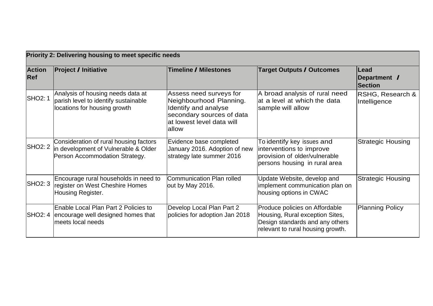| Priority 2: Delivering housing to meet specific needs |                                                                                                                  |                                                                                                                                                |                                                                                                                                           |                                        |
|-------------------------------------------------------|------------------------------------------------------------------------------------------------------------------|------------------------------------------------------------------------------------------------------------------------------------------------|-------------------------------------------------------------------------------------------------------------------------------------------|----------------------------------------|
| <b>Action</b><br><b>Ref</b>                           | <b>Project / Initiative</b>                                                                                      | Timeline / Milestones                                                                                                                          | Target Outputs / Outcomes                                                                                                                 | Lead<br>Department /<br><b>Section</b> |
| <b>SHO2: 1</b>                                        | Analysis of housing needs data at<br>parish level to identify sustainable<br>locations for housing growth        | Assess need surveys for<br>Neighbourhood Planning.<br>Identify and analyse<br>secondary sources of data<br>at lowest level data will<br>lallow | A broad analysis of rural need<br>at a level at which the data<br>sample will allow                                                       | RSHG, Research &<br>Intelligence       |
| <b>SHO2: 2</b>                                        | Consideration of rural housing factors<br>in development of Vulnerable & Older<br>Person Accommodation Strategy. | Evidence base completed<br>January 2016. Adoption of new<br>strategy late summer 2016                                                          | To identify key issues and<br>interventions to improve<br>provision of older/vulnerable<br>persons housing in rural area                  | <b>Strategic Housing</b>               |
| <b>SHO2: 3</b>                                        | Encourage rural households in need to<br>register on West Cheshire Homes<br>Housing Register.                    | Communication Plan rolled<br>out by May 2016.                                                                                                  | Update Website, develop and<br>implement communication plan on<br>housing options in CWAC                                                 | <b>Strategic Housing</b>               |
|                                                       | Enable Local Plan Part 2 Policies to<br>SHO2: 4 encourage well designed homes that<br>meets local needs          | Develop Local Plan Part 2<br>policies for adoption Jan 2018                                                                                    | Produce policies on Affordable<br>Housing, Rural exception Sites,<br>Design standards and any others<br>relevant to rural housing growth. | <b>Planning Policy</b>                 |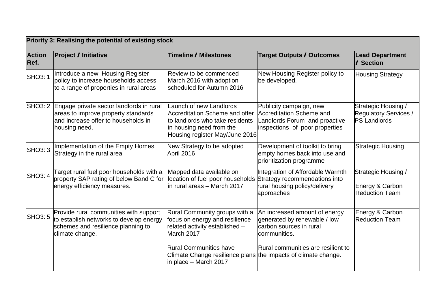| Priority 3: Realising the potential of existing stock |                                                                                                                                                 |                                                                                                                                                            |                                                                                                                                                |                                                                            |  |
|-------------------------------------------------------|-------------------------------------------------------------------------------------------------------------------------------------------------|------------------------------------------------------------------------------------------------------------------------------------------------------------|------------------------------------------------------------------------------------------------------------------------------------------------|----------------------------------------------------------------------------|--|
| <b>Action</b><br>Ref.                                 | <b>Project / Initiative</b>                                                                                                                     | Timeline / Milestones                                                                                                                                      | Target Outputs / Outcomes                                                                                                                      | <b>Lead Department</b><br>/ Section                                        |  |
| <b>SHO3: 1</b>                                        | Introduce a new Housing Register<br>policy to increase households access<br>to a range of properties in rural areas                             | Review to be commenced<br>March 2016 with adoption<br>scheduled for Autumn 2016                                                                            | New Housing Register policy to<br>be developed.                                                                                                | <b>Housing Strategy</b>                                                    |  |
|                                                       | SHO3: 2 Engage private sector landlords in rural<br>areas to improve property standards<br>and increase offer to households in<br>housing need. | Launch of new Landlords<br>Accreditation Scheme and offer<br>to landlords who take residents<br>in housing need from the<br>Housing register May/June 2016 | Publicity campaign, new<br>Accreditation Scheme and<br>Landlords Forum and proactive<br>inspections of poor properties                         | Strategic Housing /<br><b>Regulatory Services /</b><br><b>PS Landlords</b> |  |
| <b>SHO3: 3</b>                                        | Implementation of the Empty Homes<br>Strategy in the rural area                                                                                 | New Strategy to be adopted<br>April 2016                                                                                                                   | Development of toolkit to bring<br>empty homes back into use and<br>prioritization programme                                                   | <b>Strategic Housing</b>                                                   |  |
| <b>SHO3: 4</b>                                        | Target rural fuel poor households with a<br>property SAP rating of below Band C for<br>energy efficiency measures.                              | Mapped data available on<br>location of fuel poor households<br>in rural areas - March 2017                                                                | Integration of Affordable Warmth<br>Strategy recommendations into<br>rural housing policy/delivery<br>approaches                               | Strategic Housing /<br>Energy & Carbon<br><b>Reduction Team</b>            |  |
| <b>SHO3: 5</b>                                        | Provide rural communities with support<br>to establish networks to develop energy<br>schemes and resilience planning to<br>climate change.      | Rural Community groups with a<br>focus on energy and resilience<br>related activity established -<br>March 2017<br><b>Rural Communities have</b>           | An increased amount of energy<br>generated by renewable / low<br>carbon sources in rural<br>communities.<br>Rural communities are resilient to | Energy & Carbon<br><b>Reduction Team</b>                                   |  |
|                                                       |                                                                                                                                                 | Climate Change resilience plans the impacts of climate change.<br>in place – March 2017                                                                    |                                                                                                                                                |                                                                            |  |